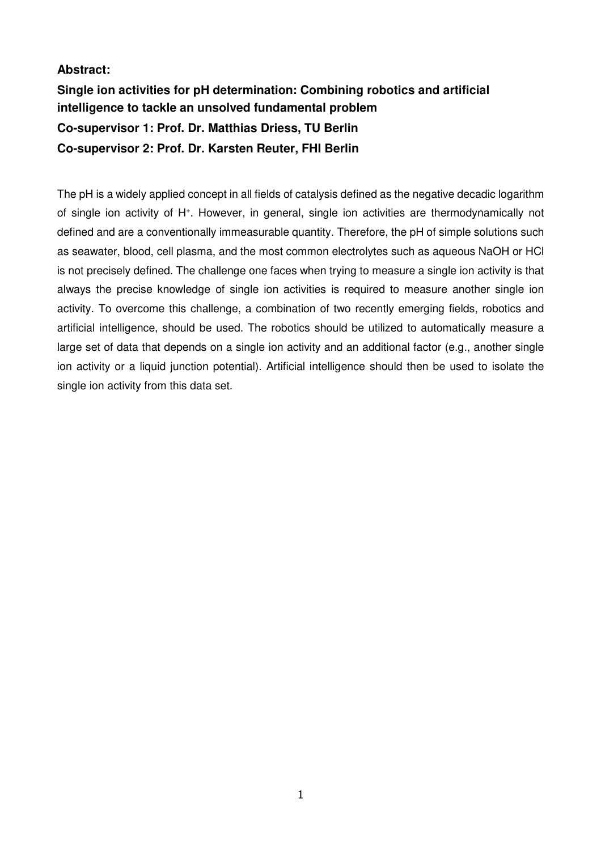## **Abstract:**

# **Single ion activities for pH determination: Combining robotics and artificial intelligence to tackle an unsolved fundamental problem Co-supervisor 1: Prof. Dr. Matthias Driess, TU Berlin Co-supervisor 2: Prof. Dr. Karsten Reuter, FHI Berlin**

The pH is a widely applied concept in all fields of catalysis defined as the negative decadic logarithm of single ion activity of H<sup>+</sup>. However, in general, single ion activities are thermodynamically not defined and are a conventionally immeasurable quantity. Therefore, the pH of simple solutions such as seawater, blood, cell plasma, and the most common electrolytes such as aqueous NaOH or HCl is not precisely defined. The challenge one faces when trying to measure a single ion activity is that always the precise knowledge of single ion activities is required to measure another single ion activity. To overcome this challenge, a combination of two recently emerging fields, robotics and artificial intelligence, should be used. The robotics should be utilized to automatically measure a large set of data that depends on a single ion activity and an additional factor (e.g., another single ion activity or a liquid junction potential). Artificial intelligence should then be used to isolate the single ion activity from this data set.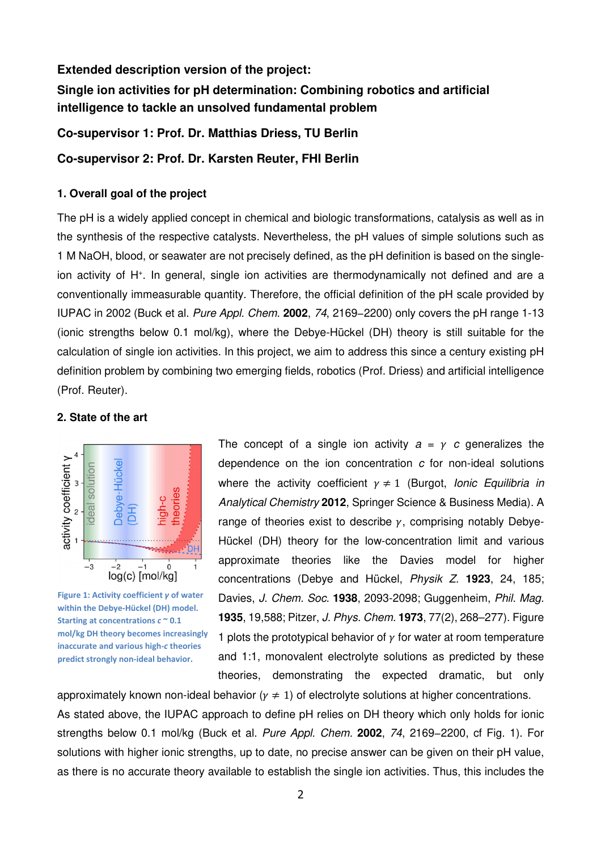#### **Extended description version of the project:**

**Single ion activities for pH determination: Combining robotics and artificial intelligence to tackle an unsolved fundamental problem** 

**Co-supervisor 1: Prof. Dr. Matthias Driess, TU Berlin** 

**Co-supervisor 2: Prof. Dr. Karsten Reuter, FHI Berlin** 

## **1. Overall goal of the project**

The pH is a widely applied concept in chemical and biologic transformations, catalysis as well as in the synthesis of the respective catalysts. Nevertheless, the pH values of simple solutions such as 1 M NaOH, blood, or seawater are not precisely defined, as the pH definition is based on the singleion activity of H<sup>+</sup>. In general, single ion activities are thermodynamically not defined and are a conventionally immeasurable quantity. Therefore, the official definition of the pH scale provided by IUPAC in 2002 (Buck et al. Pure Appl. Chem. **2002**, 74, 2169−2200) only covers the pH range 1-13 (ionic strengths below 0.1 mol/kg), where the Debye-Hückel (DH) theory is still suitable for the calculation of single ion activities. In this project, we aim to address this since a century existing pH definition problem by combining two emerging fields, robotics (Prof. Driess) and artificial intelligence (Prof. Reuter).

### **2. State of the art**



**Figure 1: Activity coefficient** *γ* **of water within the Debye-Hückel (DH) model. Starting at concentrations** *c* **~ 0.1 mol/kg DH theory becomes increasingly inaccurate and various high-***c* **theories predict strongly non-ideal behavior.**

The concept of a single ion activity  $a = y$  c generalizes the dependence on the ion concentration  $c$  for non-ideal solutions where the activity coefficient  $\gamma \neq 1$  (Burgot, lonic Equilibria in Analytical Chemistry **2012**, Springer Science & Business Media). A range of theories exist to describe  $\gamma$ , comprising notably Debye-Hückel (DH) theory for the low-concentration limit and various approximate theories like the Davies model for higher concentrations (Debye and Hückel, Physik Z. **1923**, 24, 185; Davies, J. Chem. Soc. **1938**, 2093-2098; Guggenheim, Phil. Mag. **1935**, 19,588; Pitzer, J. Phys. Chem. **1973**, 77(2), 268–277). Figure 1 plots the prototypical behavior of  $\gamma$  for water at room temperature and 1:1, monovalent electrolyte solutions as predicted by these theories, demonstrating the expected dramatic, but only

approximately known non-ideal behavior ( $\gamma \neq 1$ ) of electrolyte solutions at higher concentrations. As stated above, the IUPAC approach to define pH relies on DH theory which only holds for ionic strengths below 0.1 mol/kg (Buck et al. Pure Appl. Chem. **2002**, 74, 2169−2200, cf Fig. 1). For solutions with higher ionic strengths, up to date, no precise answer can be given on their pH value, as there is no accurate theory available to establish the single ion activities. Thus, this includes the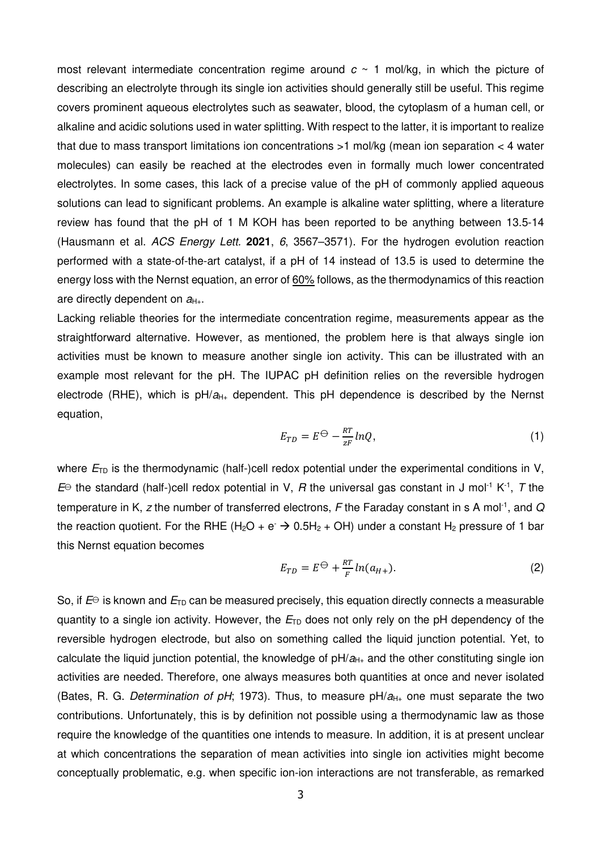most relevant intermediate concentration regime around  $c \sim 1$  mol/kg, in which the picture of describing an electrolyte through its single ion activities should generally still be useful. This regime covers prominent aqueous electrolytes such as seawater, blood, the cytoplasm of a human cell, or alkaline and acidic solutions used in water splitting. With respect to the latter, it is important to realize that due to mass transport limitations ion concentrations >1 mol/kg (mean ion separation < 4 water molecules) can easily be reached at the electrodes even in formally much lower concentrated electrolytes. In some cases, this lack of a precise value of the pH of commonly applied aqueous solutions can lead to significant problems. An example is alkaline water splitting, where a literature review has found that the pH of 1 M KOH has been reported to be anything between 13.5-14 (Hausmann et al. ACS Energy Lett. **2021**, 6, 3567–3571). For the hydrogen evolution reaction performed with a state-of-the-art catalyst, if a pH of 14 instead of 13.5 is used to determine the energy loss with the Nernst equation, an error of 60% follows, as the thermodynamics of this reaction are directly dependent on  $a_{H+}$ .

Lacking reliable theories for the intermediate concentration regime, measurements appear as the straightforward alternative. However, as mentioned, the problem here is that always single ion activities must be known to measure another single ion activity. This can be illustrated with an example most relevant for the pH. The IUPAC pH definition relies on the reversible hydrogen electrode (RHE), which is  $pH/a_{H+}$  dependent. This pH dependence is described by the Nernst equation,

$$
E_{TD} = E^{\ominus} - \frac{RT}{zF} lnQ, \tag{1}
$$

where  $E_{\text{TD}}$  is the thermodynamic (half-)cell redox potential under the experimental conditions in V,  $E^{\ominus}$  the standard (half-)cell redox potential in V, R the universal gas constant in J mol<sup>-1</sup> K<sup>-1</sup>, T the temperature in K, z the number of transferred electrons, F the Faraday constant in s A mol<sup>-1</sup>, and Q the reaction quotient. For the RHE (H<sub>2</sub>O + e<sup>-</sup>  $\rightarrow$  0.5H<sub>2</sub> + OH) under a constant H<sub>2</sub> pressure of 1 bar this Nernst equation becomes

$$
E_{TD} = E^{\ominus} + \frac{RT}{F} \ln(a_{H+}).
$$
\n(2)

So, if  $E^{\ominus}$  is known and  $E_{\text{TD}}$  can be measured precisely, this equation directly connects a measurable quantity to a single ion activity. However, the  $E_{\text{TD}}$  does not only rely on the pH dependency of the reversible hydrogen electrode, but also on something called the liquid junction potential. Yet, to calculate the liquid junction potential, the knowledge of  $pH/a_{H+}$  and the other constituting single ion activities are needed. Therefore, one always measures both quantities at once and never isolated (Bates, R. G. Determination of pH; 1973). Thus, to measure  $pH/a_{H+}$  one must separate the two contributions. Unfortunately, this is by definition not possible using a thermodynamic law as those require the knowledge of the quantities one intends to measure. In addition, it is at present unclear at which concentrations the separation of mean activities into single ion activities might become conceptually problematic, e.g. when specific ion-ion interactions are not transferable, as remarked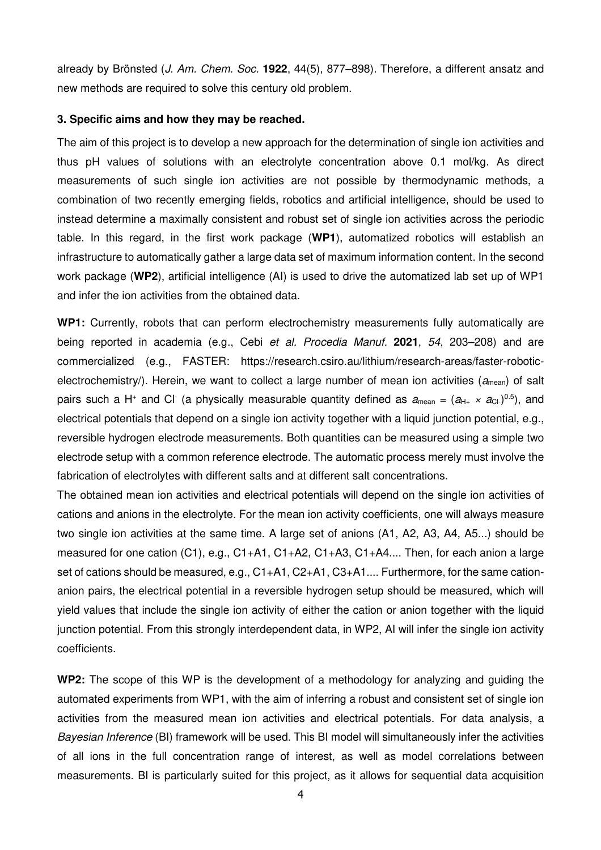already by Brönsted (J. Am. Chem. Soc. **1922**, 44(5), 877–898). Therefore, a different ansatz and new methods are required to solve this century old problem.

#### **3. Specific aims and how they may be reached.**

The aim of this project is to develop a new approach for the determination of single ion activities and thus pH values of solutions with an electrolyte concentration above 0.1 mol/kg. As direct measurements of such single ion activities are not possible by thermodynamic methods, a combination of two recently emerging fields, robotics and artificial intelligence, should be used to instead determine a maximally consistent and robust set of single ion activities across the periodic table. In this regard, in the first work package (**WP1**), automatized robotics will establish an infrastructure to automatically gather a large data set of maximum information content. In the second work package (**WP2**), artificial intelligence (AI) is used to drive the automatized lab set up of WP1 and infer the ion activities from the obtained data.

**WP1:** Currently, robots that can perform electrochemistry measurements fully automatically are being reported in academia (e.g., Cebi et al. Procedia Manuf. **2021**, 54, 203–208) and are commercialized (e.g., FASTER: https://research.csiro.au/lithium/research-areas/faster-roboticelectrochemistry/). Herein, we want to collect a large number of mean ion activities ( $a_{\text{mean}}$ ) of salt pairs such a H<sup>+</sup> and Cl<sup>-</sup> (a physically measurable quantity defined as  $a_{\text{mean}} = (a_{\text{H}_{+}} \times a_{\text{Cl}_{+}})^{0.5}$ ), and electrical potentials that depend on a single ion activity together with a liquid junction potential, e.g., reversible hydrogen electrode measurements. Both quantities can be measured using a simple two electrode setup with a common reference electrode. The automatic process merely must involve the fabrication of electrolytes with different salts and at different salt concentrations.

The obtained mean ion activities and electrical potentials will depend on the single ion activities of cations and anions in the electrolyte. For the mean ion activity coefficients, one will always measure two single ion activities at the same time. A large set of anions (A1, A2, A3, A4, A5...) should be measured for one cation (C1), e.g., C1+A1, C1+A2, C1+A3, C1+A4.... Then, for each anion a large set of cations should be measured, e.g., C1+A1, C2+A1, C3+A1.... Furthermore, for the same cationanion pairs, the electrical potential in a reversible hydrogen setup should be measured, which will yield values that include the single ion activity of either the cation or anion together with the liquid junction potential. From this strongly interdependent data, in WP2, AI will infer the single ion activity coefficients.

**WP2:** The scope of this WP is the development of a methodology for analyzing and guiding the automated experiments from WP1, with the aim of inferring a robust and consistent set of single ion activities from the measured mean ion activities and electrical potentials. For data analysis, a Bayesian Inference (BI) framework will be used. This BI model will simultaneously infer the activities of all ions in the full concentration range of interest, as well as model correlations between measurements. BI is particularly suited for this project, as it allows for sequential data acquisition